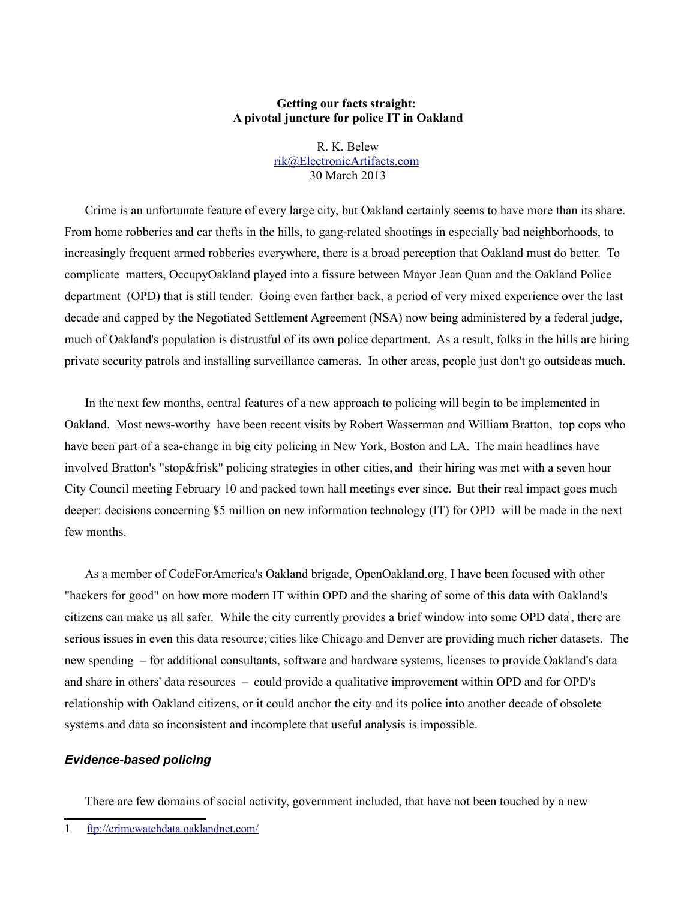## **Getting our facts straight: A pivotal juncture for police IT in Oakland**

R. K. Belew [rik@ElectronicArtifacts.com](mailto:rik@ElectronicArtifacts.com) 30 March 2013

Crime is an unfortunate feature of every large city, but Oakland certainly seems to have more than its share. From home robberies and car thefts in the hills, to gang-related shootings in especially bad neighborhoods, to increasingly frequent armed robberies everywhere, there is a broad perception that Oakland must do better. To complicate matters, OccupyOakland played into a fissure between Mayor Jean Quan and the Oakland Police department (OPD) that is still tender. Going even farther back, a period of very mixed experience over the last decade and capped by the Negotiated Settlement Agreement (NSA) now being administered by a federal judge, much of Oakland's population is distrustful of its own police department. As a result, folks in the hills are hiring private security patrols and installing surveillance cameras. In other areas, people just don't go outside as much.

In the next few months, central features of a new approach to policing will begin to be implemented in Oakland. Most news-worthy have been recent visits by Robert Wasserman and William Bratton, top cops who have been part of a sea-change in big city policing in New York, Boston and LA. The main headlines have involved Bratton's "stop&frisk" policing strategies in other cities, and their hiring was met with a seven hour City Council meeting February 10 and packed town hall meetings ever since. But their real impact goes much deeper: decisions concerning \$5 million on new information technology (IT) for OPD will be made in the next few months.

As a member of CodeForAmerica's Oakland brigade, OpenOakland.org, I have been focused with other "hackers for good" on how more modern IT within OPD and the sharing of some of this data with Oakland's citizens c[a](#page-0-0)n make us all safer. While the city currently provides a brief window into some OPD data<sup>1</sup>, there are serious issues in even this data resource; cities like Chicago and Denver are providing much richer datasets. The new spending – for additional consultants, software and hardware systems, licenses to provide Oakland's data and share in others' data resources – could provide a qualitative improvement within OPD and for OPD's relationship with Oakland citizens, or it could anchor the city and its police into another decade of obsolete systems and data so inconsistent and incomplete that useful analysis is impossible.

# *Evidence-based policing*

There are few domains of social activity, government included, that have not been touched by a new

<span id="page-0-0"></span><sup>1</sup> <ftp://crimewatchdata.oaklandnet.com/>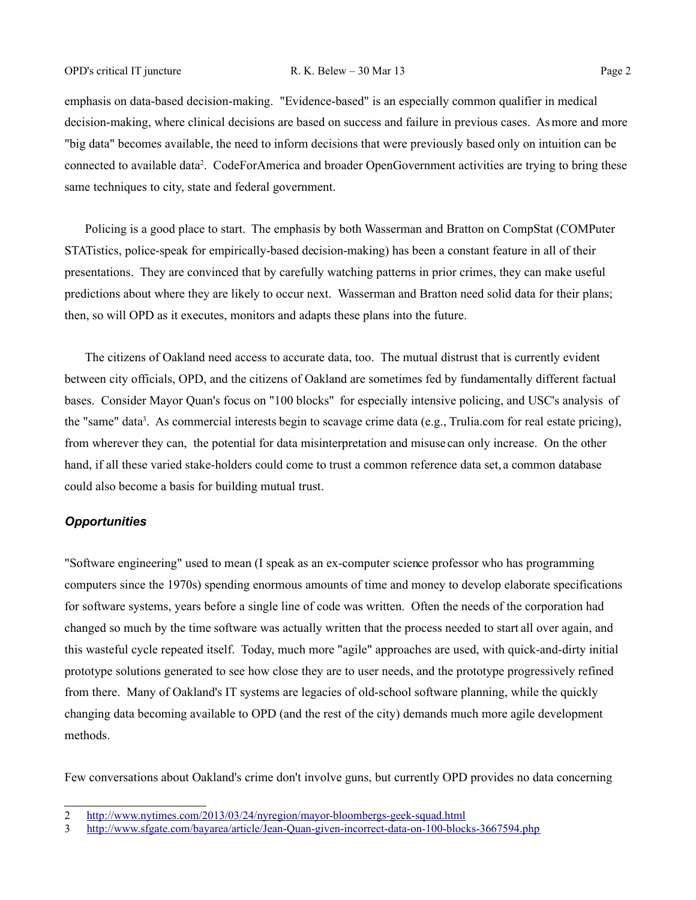emphasis on data-based decision-making. "Evidence-based" is an especially common qualifier in medical decision-making, where clinical decisions are based on success and failure in previous cases. As more and more "big data" becomes available, the need to inform decisions that were previously based only on intuition can be connected to available data<sup>[2](#page-1-0)</sup>. CodeForAmerica and broader OpenGovernment activities are trying to bring these same techniques to city, state and federal government.

Policing is a good place to start. The emphasis by both Wasserman and Bratton on CompStat (COMPuter STATistics, police-speak for empirically-based decision-making) has been a constant feature in all of their presentations. They are convinced that by carefully watching patterns in prior crimes, they can make useful predictions about where they are likely to occur next. Wasserman and Bratton need solid data for their plans; then, so will OPD as it executes, monitors and adapts these plans into the future.

The citizens of Oakland need access to accurate data, too. The mutual distrust that is currently evident between city officials, OPD, and the citizens of Oakland are sometimes fed by fundamentally different factual bases. Consider Mayor Quan's focus on "100 blocks" for especially intensive policing, and USC's analysis of the "same" data<sup>[3](#page-1-1)</sup>. As commercial interests begin to scavage crime data (e.g., Trulia.com for real estate pricing), from wherever they can, the potential for data misinterpretation and misuse can only increase. On the other hand, if all these varied stake-holders could come to trust a common reference data set, a common database could also become a basis for building mutual trust.

### *Opportunities*

"Software engineering" used to mean (I speak as an ex-computer science professor who has programming computers since the 1970s) spending enormous amounts of time and money to develop elaborate specifications for software systems, years before a single line of code was written. Often the needs of the corporation had changed so much by the time software was actually written that the process needed to start all over again, and this wasteful cycle repeated itself. Today, much more "agile" approaches are used, with quick-and-dirty initial prototype solutions generated to see how close they are to user needs, and the prototype progressively refined from there. Many of Oakland's IT systems are legacies of old-school software planning, while the quickly changing data becoming available to OPD (and the rest of the city) demands much more agile development methods.

Few conversations about Oakland's crime don't involve guns, but currently OPD provides no data concerning

<span id="page-1-0"></span><sup>2</sup> <http://www.nytimes.com/2013/03/24/nyregion/mayor-bloombergs-geek-squad.html>

<span id="page-1-1"></span><sup>3</sup> <http://www.sfgate.com/bayarea/article/Jean-Quan-given-incorrect-data-on-100-blocks-3667594.php>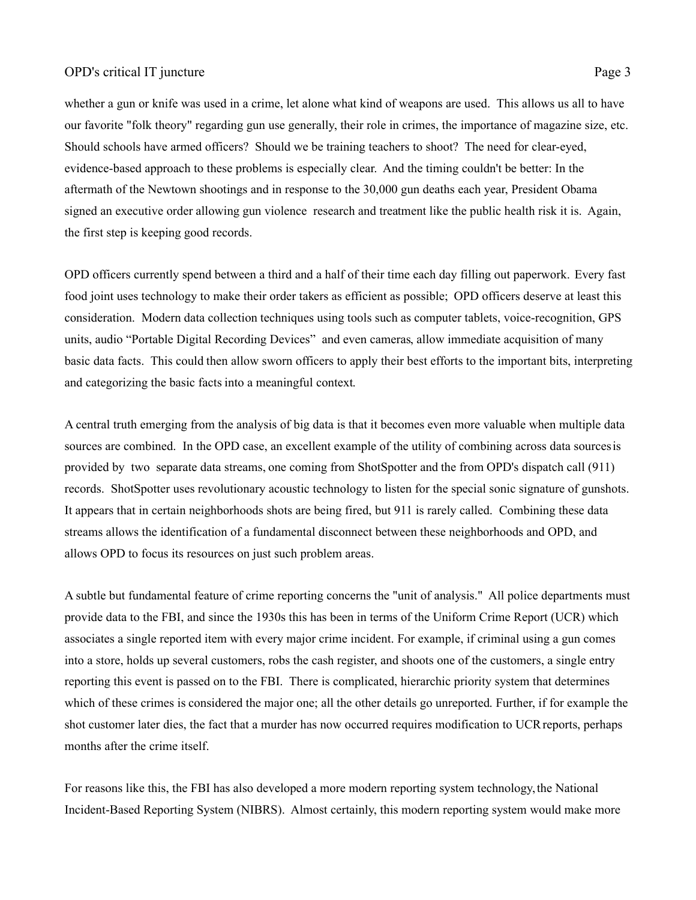## OPD's critical IT juncture Page 3

whether a gun or knife was used in a crime, let alone what kind of weapons are used. This allows us all to have our favorite "folk theory" regarding gun use generally, their role in crimes, the importance of magazine size, etc. Should schools have armed officers? Should we be training teachers to shoot? The need for clear-eyed, evidence-based approach to these problems is especially clear. And the timing couldn't be better: In the aftermath of the Newtown shootings and in response to the 30,000 gun deaths each year, President Obama signed an executive order allowing gun violence research and treatment like the public health risk it is. Again, the first step is keeping good records.

OPD officers currently spend between a third and a half of their time each day filling out paperwork. Every fast food joint uses technology to make their order takers as efficient as possible; OPD officers deserve at least this consideration. Modern data collection techniques using tools such as computer tablets, voice-recognition, GPS units, audio "Portable Digital Recording Devices" and even cameras, allow immediate acquisition of many basic data facts. This could then allow sworn officers to apply their best efforts to the important bits, interpreting and categorizing the basic facts into a meaningful context.

A central truth emerging from the analysis of big data is that it becomes even more valuable when multiple data sources are combined. In the OPD case, an excellent example of the utility of combining across data sources is provided by two separate data streams, one coming from ShotSpotter and the from OPD's dispatch call (911) records. ShotSpotter uses revolutionary acoustic technology to listen for the special sonic signature of gunshots. It appears that in certain neighborhoods shots are being fired, but 911 is rarely called. Combining these data streams allows the identification of a fundamental disconnect between these neighborhoods and OPD, and allows OPD to focus its resources on just such problem areas.

A subtle but fundamental feature of crime reporting concerns the "unit of analysis." All police departments must provide data to the FBI, and since the 1930s this has been in terms of the Uniform Crime Report (UCR) which associates a single reported item with every major crime incident. For example, if criminal using a gun comes into a store, holds up several customers, robs the cash register, and shoots one of the customers, a single entry reporting this event is passed on to the FBI. There is complicated, hierarchic priority system that determines which of these crimes is considered the major one; all the other details go unreported. Further, if for example the shot customer later dies, the fact that a murder has now occurred requires modification to UCR reports, perhaps months after the crime itself.

For reasons like this, the FBI has also developed a more modern reporting system technology, the National Incident-Based Reporting System (NIBRS). Almost certainly, this modern reporting system would make more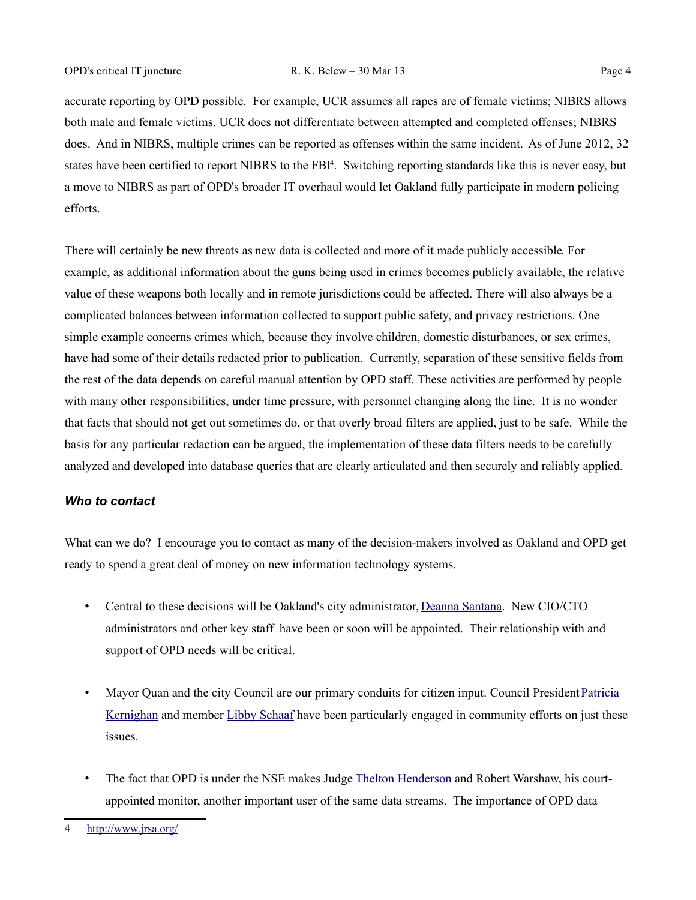accurate reporting by OPD possible. For example, UCR assumes all rapes are of female victims; NIBRS allows both male and female victims. UCR does not differentiate between attempted and completed offenses; NIBRS does. And in NIBRS, multiple crimes can be reported as offenses within the same incident. As of June 2012, 32 states have been certified to report NIBRS to the FBI<sup>[4](#page-3-0)</sup>. Switching reporting standards like this is never easy, but a move to NIBRS as part of OPD's broader IT overhaul would let Oakland fully participate in modern policing efforts.

There will certainly be new threats as new data is collected and more of it made publicly accessible. For example, as additional information about the guns being used in crimes becomes publicly available, the relative value of these weapons both locally and in remote jurisdictions could be affected. There will also always be a complicated balances between information collected to support public safety, and privacy restrictions. One simple example concerns crimes which, because they involve children, domestic disturbances, or sex crimes, have had some of their details redacted prior to publication. Currently, separation of these sensitive fields from the rest of the data depends on careful manual attention by OPD staff. These activities are performed by people with many other responsibilities, under time pressure, with personnel changing along the line. It is no wonder that facts that should not get out sometimes do, or that overly broad filters are applied, just to be safe. While the basis for any particular redaction can be argued, the implementation of these data filters needs to be carefully analyzed and developed into database queries that are clearly articulated and then securely and reliably applied.

### *Who to contact*

What can we do? I encourage you to contact as many of the decision-makers involved as Oakland and OPD get ready to spend a great deal of money on new information technology systems.

- Central to these decisions will be Oakland's city administrator, [Deanna Santana.](mailto:officeofthemayor@oaklandnet.com?subject=OPD%20IT%20juncture) New CIO/CTO administrators and other key staff have been or soon will be appointed. Their relationship with and support of OPD needs will be critical.
- Mayor Quan and the city Council are our primary conduits for citizen input. Council President Patricia [Kernighan](mailto:pkernighan@oaklandnet.com?subject=OPD%20IT%20juncture) and member [Libby Schaaf](mailto:lschaaf@oaklandnet.com?subject=OPD%20IT%20juncture) have been particularly engaged in community efforts on just these issues.
- The fact that OPD is under the NSE makes Judge [Thelton Henderson](mailto:TEHpo@cand.uscourts.gov?subject=OPD%20IT%20juncture) and Robert Warshaw, his courtappointed monitor, another important user of the same data streams. The importance of OPD data

<span id="page-3-0"></span><sup>4</sup> <http://www.jrsa.org/>